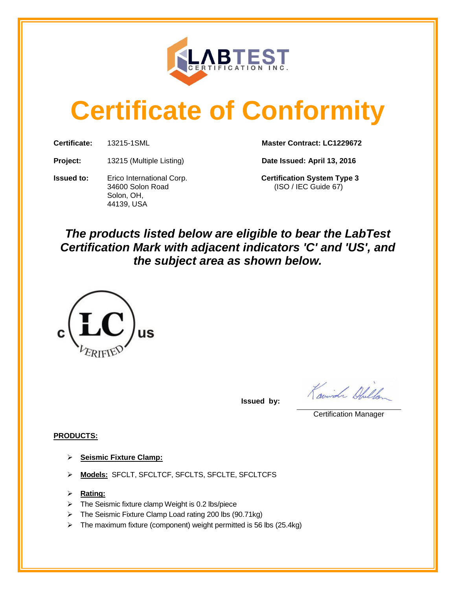

# **Certificate of Conformity**

**Certificate:** 13215-1SML **Master Contract: LC1229672**

**Project:** 13215 (Multiple Listing) **Date Issued: April 13, 2016**

**Issued to:** Erico International Corp. **Certification System Type 3** 34600 Solon Road (ISO / IEC Guide 67) Solon, OH, 44139, USA

## *The products listed below are eligible to bear the LabTest Certification Mark with adjacent indicators 'C' and 'US', and the subject area as shown below.*



**Issued by:** 

Kowish Chillen

Certification Manager

### **PRODUCTS:**

- **Seismic Fixture Clamp:**
- **Models:** SFCLT, SFCLTCF, SFCLTS, SFCLTE, SFCLTCFS
- **Rating:**
- $\triangleright$  The Seismic fixture clamp Weight is 0.2 lbs/piece
- > The Seismic Fixture Clamp Load rating 200 lbs (90.71kg)
- $\triangleright$  The maximum fixture (component) weight permitted is 56 lbs (25.4kg)